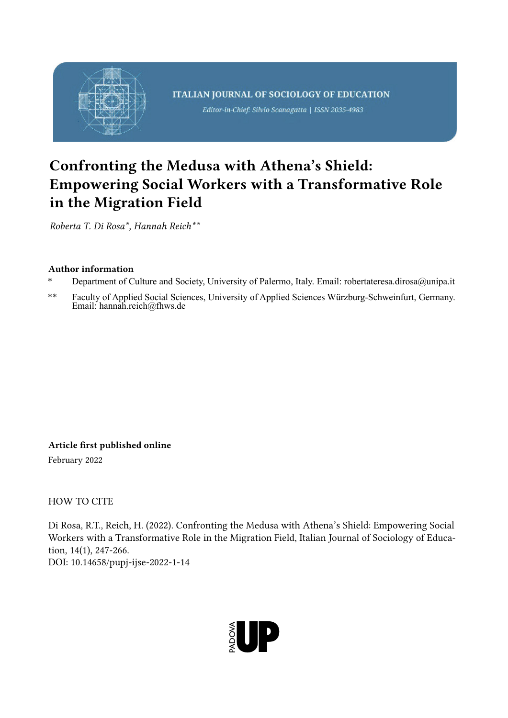

# Confronting the Medusa with Athena's Shield: Empowering Social Workers with a Transformative Role in the Migration Field

*Roberta T. Di Rosa\*, Hannah Reich\*\**

# Author information

- \* Department of Culture and Society, University of Palermo, Italy. Email: robertateresa.dirosa@unipa.it
- \*\* Faculty of Applied Social Sciences, University of Applied Sciences Würzburg-Schweinfurt, Germany. Email: hannah.reich@fhws.de

Article first published online

February 2022

HOW TO CITE

Di Rosa, R.T., Reich, H. (2022). Confronting the Medusa with Athena's Shield: Empowering Social Workers with a Transformative Role in the Migration Field, Italian Journal of Sociology of Education, 14(1), 247-266. DOI: 10.14658/pupj-ijse-2022-1-14

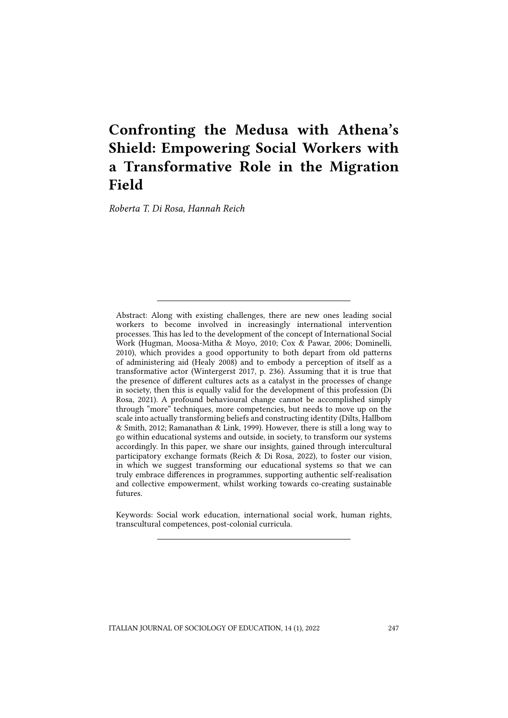# Confronting the Medusa with Athena's Shield: Empowering Social Workers with a Transformative Role in the Migration Field

*Roberta T. Di Rosa, Hannah Reich*

Abstract: Along with existing challenges, there are new ones leading social workers to become involved in increasingly international intervention processes. This has led to the development of the concept of International Social Work (Hugman, Moosa-Mitha & Moyo, 2010; Cox & Pawar, 2006; Dominelli, 2010), which provides a good opportunity to both depart from old patterns of administering aid (Healy 2008) and to embody a perception of itself as a transformative actor (Wintergerst 2017, p. 236). Assuming that it is true that the presence of different cultures acts as a catalyst in the processes of change in society, then this is equally valid for the development of this profession (Di Rosa, 2021). A profound behavioural change cannot be accomplished simply through "more" techniques, more competencies, but needs to move up on the scale into actually transforming beliefs and constructing identity (Dilts, Hallbom & Smith, 2012; Ramanathan & Link, 1999). However, there is still a long way to go within educational systems and outside, in society, to transform our systems accordingly. In this paper, we share our insights, gained through intercultural participatory exchange formats (Reich & Di Rosa, 2022), to foster our vision, in which we suggest transforming our educational systems so that we can truly embrace differences in programmes, supporting authentic self-realisation and collective empowerment, whilst working towards co-creating sustainable futures.

Keywords: Social work education, international social work, human rights, transcultural competences, post-colonial curricula.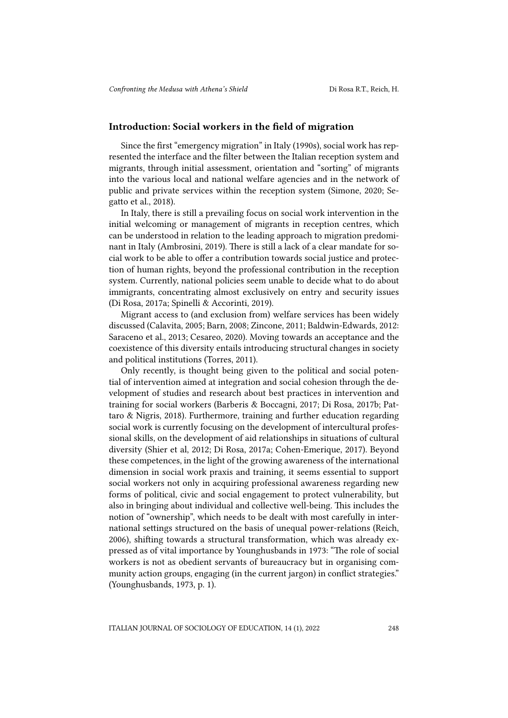#### Introduction: Social workers in the field of migration

Since the first "emergency migration" in Italy (1990s), social work has represented the interface and the filter between the Italian reception system and migrants, through initial assessment, orientation and "sorting" of migrants into the various local and national welfare agencies and in the network of public and private services within the reception system (Simone, 2020; Segatto et al., 2018).

In Italy, there is still a prevailing focus on social work intervention in the initial welcoming or management of migrants in reception centres, which can be understood in relation to the leading approach to migration predominant in Italy (Ambrosini, 2019). There is still a lack of a clear mandate for social work to be able to offer a contribution towards social justice and protection of human rights, beyond the professional contribution in the reception system. Currently, national policies seem unable to decide what to do about immigrants, concentrating almost exclusively on entry and security issues (Di Rosa, 2017a; Spinelli & Accorinti, 2019).

Migrant access to (and exclusion from) welfare services has been widely discussed (Calavita, 2005; Barn, 2008; Zincone, 2011; Baldwin-Edwards, 2012: Saraceno et al., 2013; Cesareo, 2020). Moving towards an acceptance and the coexistence of this diversity entails introducing structural changes in society and political institutions (Torres, 2011).

Only recently, is thought being given to the political and social potential of intervention aimed at integration and social cohesion through the development of studies and research about best practices in intervention and training for social workers (Barberis & Boccagni, 2017; Di Rosa, 2017b; Pattaro & Nigris, 2018). Furthermore, training and further education regarding social work is currently focusing on the development of intercultural professional skills, on the development of aid relationships in situations of cultural diversity (Shier et al, 2012; Di Rosa, 2017a; Cohen-Emerique, 2017). Beyond these competences, in the light of the growing awareness of the international dimension in social work praxis and training, it seems essential to support social workers not only in acquiring professional awareness regarding new forms of political, civic and social engagement to protect vulnerability, but also in bringing about individual and collective well-being. This includes the notion of "ownership", which needs to be dealt with most carefully in international settings structured on the basis of unequal power-relations (Reich, 2006), shifting towards a structural transformation, which was already expressed as of vital importance by Younghusbands in 1973: "The role of social workers is not as obedient servants of bureaucracy but in organising community action groups, engaging (in the current jargon) in conflict strategies." (Younghusbands, 1973, p. 1).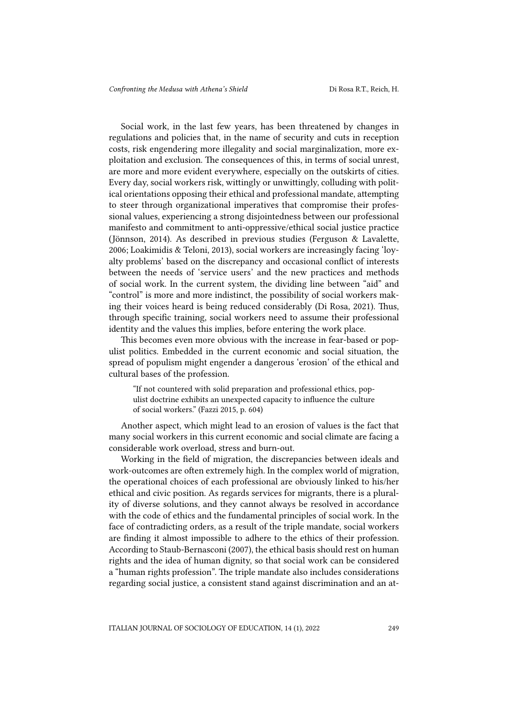Social work, in the last few years, has been threatened by changes in regulations and policies that, in the name of security and cuts in reception costs, risk engendering more illegality and social marginalization, more exploitation and exclusion. The consequences of this, in terms of social unrest, are more and more evident everywhere, especially on the outskirts of cities. Every day, social workers risk, wittingly or unwittingly, colluding with political orientations opposing their ethical and professional mandate, attempting to steer through organizational imperatives that compromise their professional values, experiencing a strong disjointedness between our professional manifesto and commitment to anti-oppressive/ethical social justice practice (Jönnson, 2014). As described in previous studies (Ferguson & Lavalette, 2006; Loakimidis & Teloni, 2013), social workers are increasingly facing 'loyalty problems' based on the discrepancy and occasional conflict of interests between the needs of 'service users' and the new practices and methods of social work. In the current system, the dividing line between "aid" and "control" is more and more indistinct, the possibility of social workers making their voices heard is being reduced considerably (Di Rosa, 2021). Thus, through specific training, social workers need to assume their professional identity and the values this implies, before entering the work place.

This becomes even more obvious with the increase in fear-based or populist politics. Embedded in the current economic and social situation, the spread of populism might engender a dangerous 'erosion' of the ethical and cultural bases of the profession.

"If not countered with solid preparation and professional ethics, populist doctrine exhibits an unexpected capacity to influence the culture of social workers." (Fazzi 2015, p. 604)

Another aspect, which might lead to an erosion of values is the fact that many social workers in this current economic and social climate are facing a considerable work overload, stress and burn-out.

Working in the field of migration, the discrepancies between ideals and work-outcomes are often extremely high. In the complex world of migration, the operational choices of each professional are obviously linked to his/her ethical and civic position. As regards services for migrants, there is a plurality of diverse solutions, and they cannot always be resolved in accordance with the code of ethics and the fundamental principles of social work. In the face of contradicting orders, as a result of the triple mandate, social workers are finding it almost impossible to adhere to the ethics of their profession. According to Staub-Bernasconi (2007), the ethical basis should rest on human rights and the idea of human dignity, so that social work can be considered a "human rights profession". The triple mandate also includes considerations regarding social justice, a consistent stand against discrimination and an at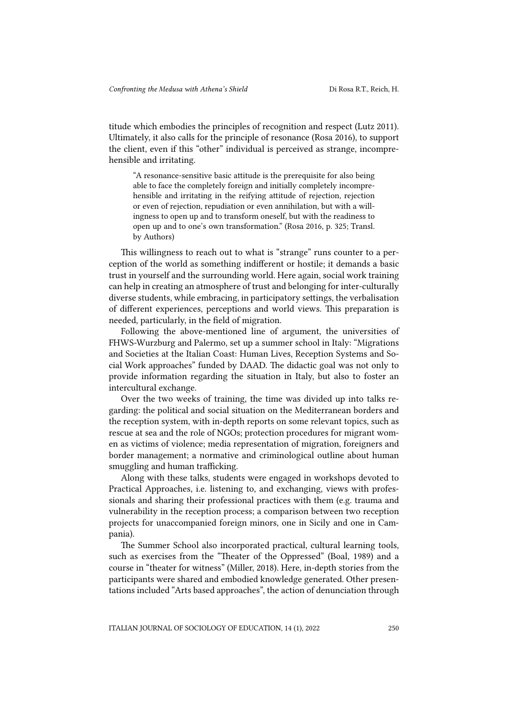titude which embodies the principles of recognition and respect (Lutz 2011). Ultimately, it also calls for the principle of resonance (Rosa 2016), to support the client, even if this "other" individual is perceived as strange, incomprehensible and irritating.

"A resonance-sensitive basic attitude is the prerequisite for also being able to face the completely foreign and initially completely incomprehensible and irritating in the reifying attitude of rejection, rejection or even of rejection, repudiation or even annihilation, but with a willingness to open up and to transform oneself, but with the readiness to open up and to one's own transformation." (Rosa 2016, p. 325; Transl. by Authors)

This willingness to reach out to what is "strange" runs counter to a perception of the world as something indifferent or hostile; it demands a basic trust in yourself and the surrounding world. Here again, social work training can help in creating an atmosphere of trust and belonging for inter-culturally diverse students, while embracing, in participatory settings, the verbalisation of different experiences, perceptions and world views. This preparation is needed, particularly, in the field of migration.

Following the above-mentioned line of argument, the universities of FHWS-Wurzburg and Palermo, set up a summer school in Italy: "Migrations and Societies at the Italian Coast: Human Lives, Reception Systems and Social Work approaches" funded by DAAD. The didactic goal was not only to provide information regarding the situation in Italy, but also to foster an intercultural exchange.

Over the two weeks of training, the time was divided up into talks regarding: the political and social situation on the Mediterranean borders and the reception system, with in-depth reports on some relevant topics, such as rescue at sea and the role of NGOs; protection procedures for migrant women as victims of violence; media representation of migration, foreigners and border management; a normative and criminological outline about human smuggling and human trafficking.

Along with these talks, students were engaged in workshops devoted to Practical Approaches, i.e. listening to, and exchanging, views with professionals and sharing their professional practices with them (e.g. trauma and vulnerability in the reception process; a comparison between two reception projects for unaccompanied foreign minors, one in Sicily and one in Campania).

The Summer School also incorporated practical, cultural learning tools, such as exercises from the "Theater of the Oppressed" (Boal, 1989) and a course in "theater for witness" (Miller, 2018). Here, in-depth stories from the participants were shared and embodied knowledge generated. Other presentations included "Arts based approaches", the action of denunciation through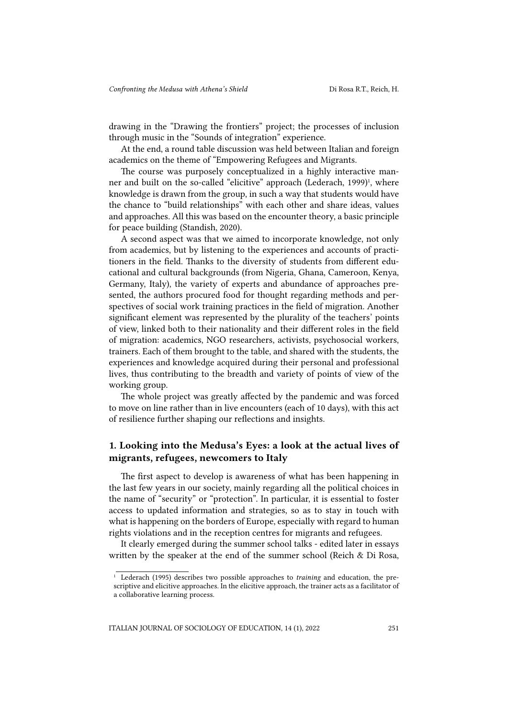drawing in the "Drawing the frontiers" project; the processes of inclusion through music in the "Sounds of integration" experience.

At the end, a round table discussion was held between Italian and foreign academics on the theme of "Empowering Refugees and Migrants.

The course was purposely conceptualized in a highly interactive manner and built on the so-called "elicitive" approach (Lederach, 1999)<sup>1</sup>, where knowledge is drawn from the group, in such a way that students would have the chance to "build relationships" with each other and share ideas, values and approaches. All this was based on the encounter theory, a basic principle for peace building (Standish, 2020).

A second aspect was that we aimed to incorporate knowledge, not only from academics, but by listening to the experiences and accounts of practitioners in the field. Thanks to the diversity of students from different educational and cultural backgrounds (from Nigeria, Ghana, Cameroon, Kenya, Germany, Italy), the variety of experts and abundance of approaches presented, the authors procured food for thought regarding methods and perspectives of social work training practices in the field of migration. Another significant element was represented by the plurality of the teachers' points of view, linked both to their nationality and their different roles in the field of migration: academics, NGO researchers, activists, psychosocial workers, trainers. Each of them brought to the table, and shared with the students, the experiences and knowledge acquired during their personal and professional lives, thus contributing to the breadth and variety of points of view of the working group.

The whole project was greatly affected by the pandemic and was forced to move on line rather than in live encounters (each of 10 days), with this act of resilience further shaping our reflections and insights.

## 1. Looking into the Medusa's Eyes: a look at the actual lives of migrants, refugees, newcomers to Italy

The first aspect to develop is awareness of what has been happening in the last few years in our society, mainly regarding all the political choices in the name of "security" or "protection". In particular, it is essential to foster access to updated information and strategies, so as to stay in touch with what is happening on the borders of Europe, especially with regard to human rights violations and in the reception centres for migrants and refugees.

It clearly emerged during the summer school talks - edited later in essays written by the speaker at the end of the summer school (Reich & Di Rosa,

<sup>1</sup> Lederach (1995) describes two possible approaches to *training* and education, the prescriptive and elicitive approaches. In the elicitive approach, the trainer acts as a facilitator of a collaborative learning process.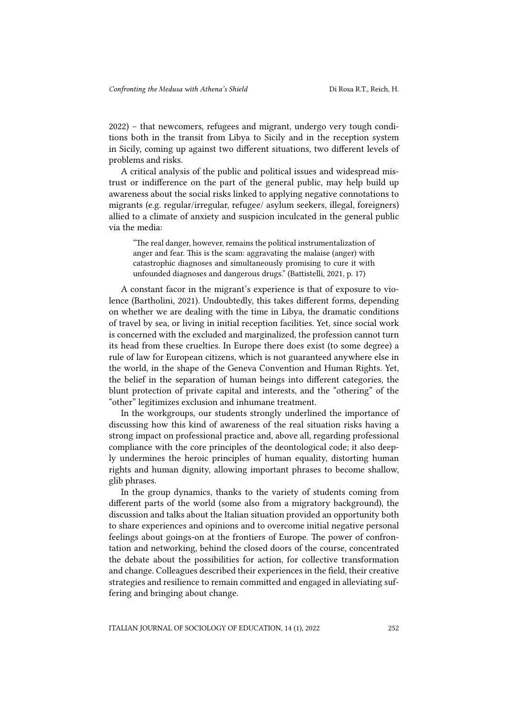2022) – that newcomers, refugees and migrant, undergo very tough conditions both in the transit from Libya to Sicily and in the reception system in Sicily, coming up against two different situations, two different levels of problems and risks.

A critical analysis of the public and political issues and widespread mistrust or indifference on the part of the general public, may help build up awareness about the social risks linked to applying negative connotations to migrants (e.g. regular/irregular, refugee/ asylum seekers, illegal, foreigners) allied to a climate of anxiety and suspicion inculcated in the general public via the media:

"The real danger, however, remains the political instrumentalization of anger and fear. This is the scam: aggravating the malaise (anger) with catastrophic diagnoses and simultaneously promising to cure it with unfounded diagnoses and dangerous drugs." (Battistelli, 2021, p. 17)

A constant facor in the migrant's experience is that of exposure to violence (Bartholini, 2021). Undoubtedly, this takes different forms, depending on whether we are dealing with the time in Libya, the dramatic conditions of travel by sea, or living in initial reception facilities. Yet, since social work is concerned with the excluded and marginalized, the profession cannot turn its head from these cruelties. In Europe there does exist (to some degree) a rule of law for European citizens, which is not guaranteed anywhere else in the world, in the shape of the Geneva Convention and Human Rights. Yet, the belief in the separation of human beings into different categories, the blunt protection of private capital and interests, and the "othering" of the "other" legitimizes exclusion and inhumane treatment.

In the workgroups, our students strongly underlined the importance of discussing how this kind of awareness of the real situation risks having a strong impact on professional practice and, above all, regarding professional compliance with the core principles of the deontological code; it also deeply undermines the heroic principles of human equality, distorting human rights and human dignity, allowing important phrases to become shallow, glib phrases.

In the group dynamics, thanks to the variety of students coming from different parts of the world (some also from a migratory background), the discussion and talks about the Italian situation provided an opportunity both to share experiences and opinions and to overcome initial negative personal feelings about goings-on at the frontiers of Europe. The power of confrontation and networking, behind the closed doors of the course, concentrated the debate about the possibilities for action, for collective transformation and change. Colleagues described their experiences in the field, their creative strategies and resilience to remain committed and engaged in alleviating suffering and bringing about change.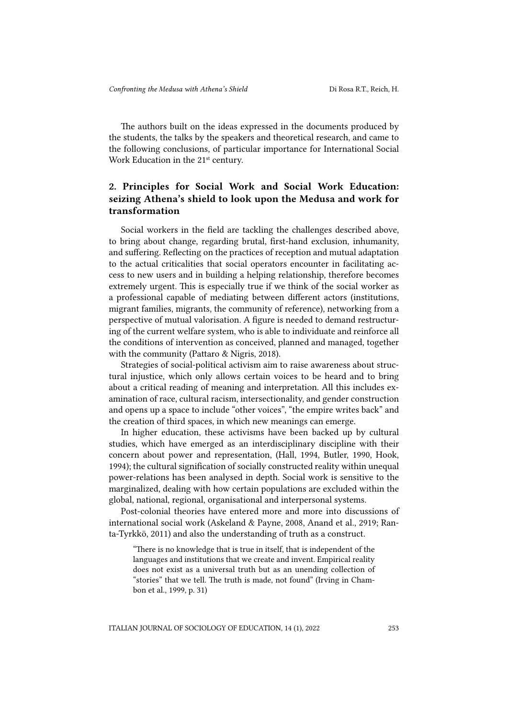The authors built on the ideas expressed in the documents produced by the students, the talks by the speakers and theoretical research, and came to the following conclusions, of particular importance for International Social Work Education in the 21<sup>st</sup> century.

# 2. Principles for Social Work and Social Work Education: seizing Athena's shield to look upon the Medusa and work for transformation

Social workers in the field are tackling the challenges described above, to bring about change, regarding brutal, first-hand exclusion, inhumanity, and suffering. Reflecting on the practices of reception and mutual adaptation to the actual criticalities that social operators encounter in facilitating access to new users and in building a helping relationship, therefore becomes extremely urgent. This is especially true if we think of the social worker as a professional capable of mediating between different actors (institutions, migrant families, migrants, the community of reference), networking from a perspective of mutual valorisation. A figure is needed to demand restructuring of the current welfare system, who is able to individuate and reinforce all the conditions of intervention as conceived, planned and managed, together with the community (Pattaro & Nigris, 2018).

Strategies of social-political activism aim to raise awareness about structural injustice, which only allows certain voices to be heard and to bring about a critical reading of meaning and interpretation. All this includes examination of race, cultural racism, intersectionality, and gender construction and opens up a space to include "other voices", "the empire writes back" and the creation of third spaces, in which new meanings can emerge.

In higher education, these activisms have been backed up by cultural studies, which have emerged as an interdisciplinary discipline with their concern about power and representation, (Hall, 1994, Butler, 1990, Hook, 1994); the cultural signification of socially constructed reality within unequal power-relations has been analysed in depth. Social work is sensitive to the marginalized, dealing with how certain populations are excluded within the global, national, regional, organisational and interpersonal systems.

Post-colonial theories have entered more and more into discussions of international social work (Askeland & Payne, 2008, Anand et al., 2919; Ranta-Tyrkkö, 2011) and also the understanding of truth as a construct.

"There is no knowledge that is true in itself, that is independent of the languages and institutions that we create and invent. Empirical reality does not exist as a universal truth but as an unending collection of "stories" that we tell. The truth is made, not found" (Irving in Chambon et al., 1999, p. 31)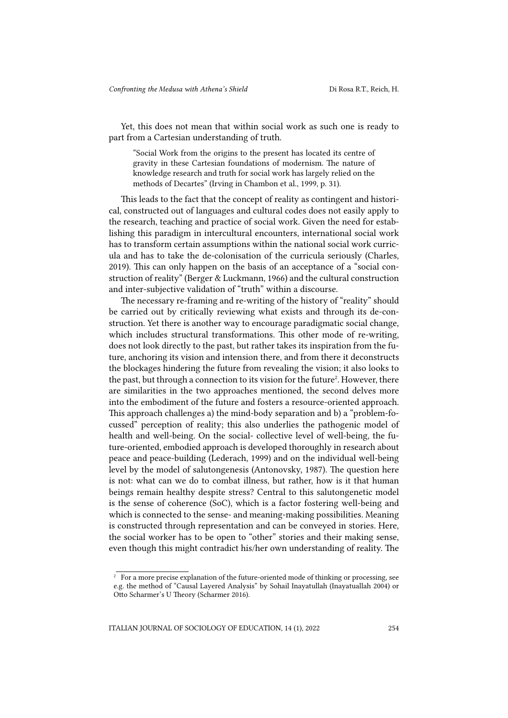Yet, this does not mean that within social work as such one is ready to part from a Cartesian understanding of truth.

"Social Work from the origins to the present has located its centre of gravity in these Cartesian foundations of modernism. The nature of knowledge research and truth for social work has largely relied on the methods of Decartes" (Irving in Chambon et al., 1999, p. 31).

This leads to the fact that the concept of reality as contingent and historical, constructed out of languages and cultural codes does not easily apply to the research, teaching and practice of social work. Given the need for establishing this paradigm in intercultural encounters, international social work has to transform certain assumptions within the national social work curricula and has to take the de-colonisation of the curricula seriously (Charles, 2019). This can only happen on the basis of an acceptance of a "social construction of reality" (Berger & Luckmann, 1966) and the cultural construction and inter-subjective validation of "truth" within a discourse.

The necessary re-framing and re-writing of the history of "reality" should be carried out by critically reviewing what exists and through its de-construction. Yet there is another way to encourage paradigmatic social change, which includes structural transformations. This other mode of re-writing, does not look directly to the past, but rather takes its inspiration from the future, anchoring its vision and intension there, and from there it deconstructs the blockages hindering the future from revealing the vision; it also looks to the past, but through a connection to its vision for the future<sup>2</sup>. However, there are similarities in the two approaches mentioned, the second delves more into the embodiment of the future and fosters a resource-oriented approach. This approach challenges a) the mind-body separation and b) a "problem-focussed" perception of reality; this also underlies the pathogenic model of health and well-being. On the social- collective level of well-being, the future-oriented, embodied approach is developed thoroughly in research about peace and peace-building (Lederach, 1999) and on the individual well-being level by the model of salutongenesis (Antonovsky, 1987). The question here is not: what can we do to combat illness, but rather, how is it that human beings remain healthy despite stress? Central to this salutongenetic model is the sense of coherence (SoC), which is a factor fostering well-being and which is connected to the sense- and meaning-making possibilities. Meaning is constructed through representation and can be conveyed in stories. Here, the social worker has to be open to "other" stories and their making sense, even though this might contradict his/her own understanding of reality. The

<sup>&</sup>lt;sup>2</sup> For a more precise explanation of the future-oriented mode of thinking or processing, see e.g. the method of "Causal Layered Analysis" by Sohail Inayatullah (Inayatuallah 2004) or Otto Scharmer's U Theory (Scharmer 2016).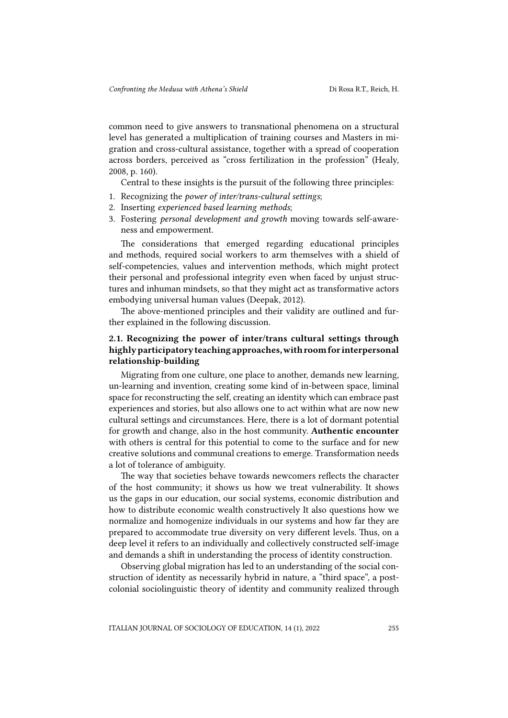common need to give answers to transnational phenomena on a structural level has generated a multiplication of training courses and Masters in migration and cross-cultural assistance, together with a spread of cooperation across borders, perceived as "cross fertilization in the profession" (Healy, 2008, p. 160).

Central to these insights is the pursuit of the following three principles:

- 1. Recognizing the *power of inter/trans-cultural settings*;
- 2. Inserting *experienced based learning methods*;
- 3. Fostering *personal development and growth* moving towards self-awareness and empowerment.

The considerations that emerged regarding educational principles and methods, required social workers to arm themselves with a shield of self-competencies, values and intervention methods, which might protect their personal and professional integrity even when faced by unjust structures and inhuman mindsets, so that they might act as transformative actors embodying universal human values (Deepak, 2012).

The above-mentioned principles and their validity are outlined and further explained in the following discussion.

### 2.1. Recognizing the power of inter/trans cultural settings through highly participatory teaching approaches, with room for interpersonal relationship-building

Migrating from one culture, one place to another, demands new learning, un-learning and invention, creating some kind of in-between space, liminal space for reconstructing the self, creating an identity which can embrace past experiences and stories, but also allows one to act within what are now new cultural settings and circumstances. Here, there is a lot of dormant potential for growth and change, also in the host community. Authentic encounter with others is central for this potential to come to the surface and for new creative solutions and communal creations to emerge. Transformation needs a lot of tolerance of ambiguity.

The way that societies behave towards newcomers reflects the character of the host community; it shows us how we treat vulnerability. It shows us the gaps in our education, our social systems, economic distribution and how to distribute economic wealth constructively It also questions how we normalize and homogenize individuals in our systems and how far they are prepared to accommodate true diversity on very different levels. Thus, on a deep level it refers to an individually and collectively constructed self-image and demands a shift in understanding the process of identity construction.

Observing global migration has led to an understanding of the social construction of identity as necessarily hybrid in nature, a "third space", a postcolonial sociolinguistic theory of identity and community realized through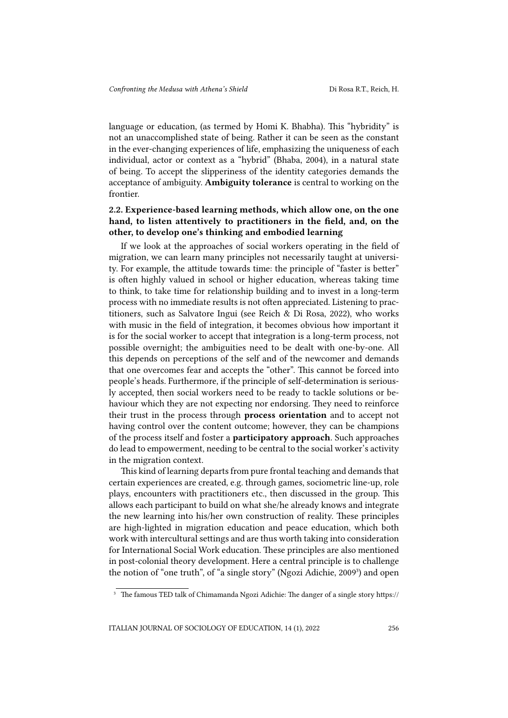language or education, (as termed by Homi K. Bhabha). This "hybridity" is not an unaccomplished state of being. Rather it can be seen as the constant in the ever-changing experiences of life, emphasizing the uniqueness of each individual, actor or context as a "hybrid" (Bhaba, 2004), in a natural state of being. To accept the slipperiness of the identity categories demands the acceptance of ambiguity. Ambiguity tolerance is central to working on the frontier.

## 2.2. Experience-based learning methods, which allow one, on the one hand, to listen attentively to practitioners in the field, and, on the other, to develop one's thinking and embodied learning

If we look at the approaches of social workers operating in the field of migration, we can learn many principles not necessarily taught at university. For example, the attitude towards time: the principle of "faster is better" is often highly valued in school or higher education, whereas taking time to think, to take time for relationship building and to invest in a long-term process with no immediate results is not often appreciated. Listening to practitioners, such as Salvatore Ingui (see Reich & Di Rosa, 2022), who works with music in the field of integration, it becomes obvious how important it is for the social worker to accept that integration is a long-term process, not possible overnight; the ambiguities need to be dealt with one-by-one. All this depends on perceptions of the self and of the newcomer and demands that one overcomes fear and accepts the "other". This cannot be forced into people's heads. Furthermore, if the principle of self-determination is seriously accepted, then social workers need to be ready to tackle solutions or behaviour which they are not expecting nor endorsing. They need to reinforce their trust in the process through process orientation and to accept not having control over the content outcome; however, they can be champions of the process itself and foster a participatory approach. Such approaches do lead to empowerment, needing to be central to the social worker's activity in the migration context.

This kind of learning departs from pure frontal teaching and demands that certain experiences are created, e.g. through games, sociometric line-up, role plays, encounters with practitioners etc., then discussed in the group. This allows each participant to build on what she/he already knows and integrate the new learning into his/her own construction of reality. These principles are high-lighted in migration education and peace education, which both work with intercultural settings and are thus worth taking into consideration for International Social Work education. These principles are also mentioned in post-colonial theory development. Here a central principle is to challenge the notion of "one truth", of "a single story" (Ngozi Adichie, 2009<sup>3</sup>) and open

<sup>&</sup>lt;sup>3</sup> The famous TED talk of Chimamanda Ngozi Adichie: The danger of a single story [https://](https://www.ted.com/talks/chimamanda_ngozi_adichie_the_danger_of_a_single_story)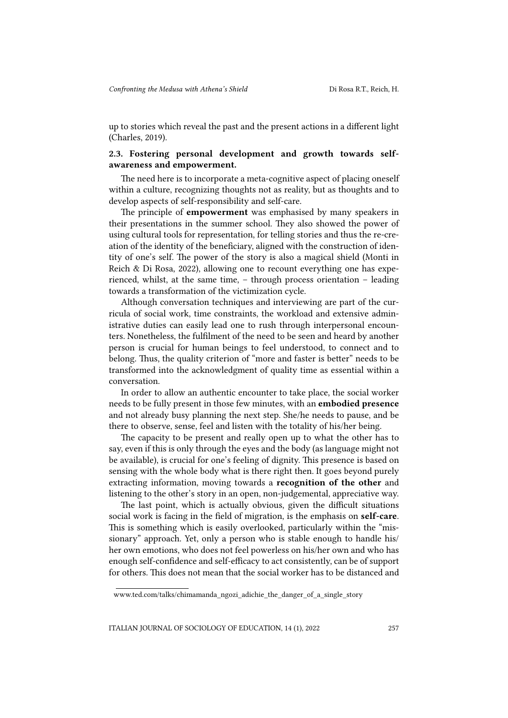up to stories which reveal the past and the present actions in a different light (Charles, 2019).

## 2.3. Fostering personal development and growth towards selfawareness and empowerment.

The need here is to incorporate a meta-cognitive aspect of placing oneself within a culture, recognizing thoughts not as reality, but as thoughts and to develop aspects of self-responsibility and self-care.

The principle of empowerment was emphasised by many speakers in their presentations in the summer school. They also showed the power of using cultural tools for representation, for telling stories and thus the re-creation of the identity of the beneficiary, aligned with the construction of identity of one's self. The power of the story is also a magical shield (Monti in Reich & Di Rosa, 2022), allowing one to recount everything one has experienced, whilst, at the same time, – through process orientation – leading towards a transformation of the victimization cycle.

Although conversation techniques and interviewing are part of the curricula of social work, time constraints, the workload and extensive administrative duties can easily lead one to rush through interpersonal encounters. Nonetheless, the fulfilment of the need to be seen and heard by another person is crucial for human beings to feel understood, to connect and to belong. Thus, the quality criterion of "more and faster is better" needs to be transformed into the acknowledgment of quality time as essential within a conversation.

In order to allow an authentic encounter to take place, the social worker needs to be fully present in those few minutes, with an embodied presence and not already busy planning the next step. She/he needs to pause, and be there to observe, sense, feel and listen with the totality of his/her being.

The capacity to be present and really open up to what the other has to say, even if this is only through the eyes and the body (as language might not be available), is crucial for one's feeling of dignity. This presence is based on sensing with the whole body what is there right then. It goes beyond purely extracting information, moving towards a recognition of the other and listening to the other's story in an open, non-judgemental, appreciative way.

The last point, which is actually obvious, given the difficult situations social work is facing in the field of migration, is the emphasis on self-care. This is something which is easily overlooked, particularly within the "missionary" approach. Yet, only a person who is stable enough to handle his/ her own emotions, who does not feel powerless on his/her own and who has enough self-confidence and self-efficacy to act consistently, can be of support for others. This does not mean that the social worker has to be distanced and

[www.ted.com/talks/chimamanda\\_ngozi\\_adichie\\_the\\_danger\\_of\\_a\\_single\\_story](https://www.ted.com/talks/chimamanda_ngozi_adichie_the_danger_of_a_single_story)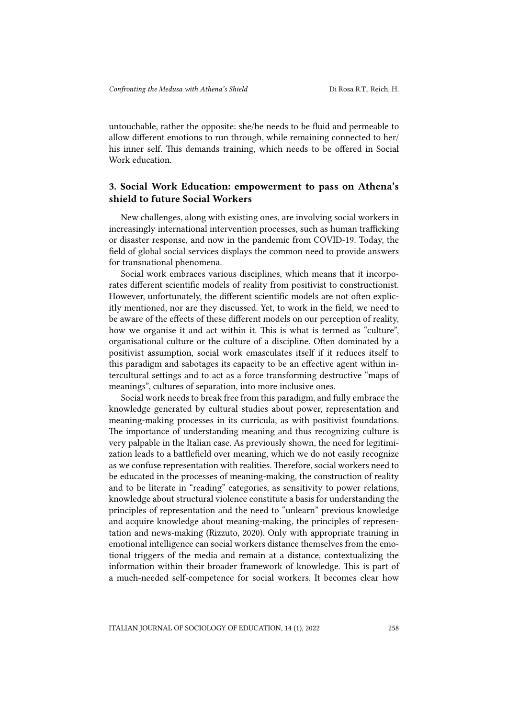untouchable, rather the opposite: she/he needs to be fluid and permeable to allow different emotions to run through, while remaining connected to her/ his inner self. This demands training, which needs to be offered in Social Work education.

## 3. Social Work Education: empowerment to pass on Athena's shield to future Social Workers

New challenges, along with existing ones, are involving social workers in increasingly international intervention processes, such as human trafficking or disaster response, and now in the pandemic from COVID-19. Today, the field of global social services displays the common need to provide answers for transnational phenomena.

Social work embraces various disciplines, which means that it incorporates different scientific models of reality from positivist to constructionist. However, unfortunately, the different scientific models are not often explicitly mentioned, nor are they discussed. Yet, to work in the field, we need to be aware of the effects of these different models on our perception of reality, how we organise it and act within it. This is what is termed as "culture", organisational culture or the culture of a discipline. Often dominated by a positivist assumption, social work emasculates itself if it reduces itself to this paradigm and sabotages its capacity to be an effective agent within intercultural settings and to act as a force transforming destructive "maps of meanings", cultures of separation, into more inclusive ones.

Social work needs to break free from this paradigm, and fully embrace the knowledge generated by cultural studies about power, representation and meaning-making processes in its curricula, as with positivist foundations. The importance of understanding meaning and thus recognizing culture is very palpable in the Italian case. As previously shown, the need for legitimization leads to a battlefield over meaning, which we do not easily recognize as we confuse representation with realities. Therefore, social workers need to be educated in the processes of meaning-making, the construction of reality and to be literate in "reading" categories, as sensitivity to power relations, knowledge about structural violence constitute a basis for understanding the principles of representation and the need to "unlearn" previous knowledge and acquire knowledge about meaning-making, the principles of representation and news-making (Rizzuto, 2020). Only with appropriate training in emotional intelligence can social workers distance themselves from the emotional triggers of the media and remain at a distance, contextualizing the information within their broader framework of knowledge. This is part of a much-needed self-competence for social workers. It becomes clear how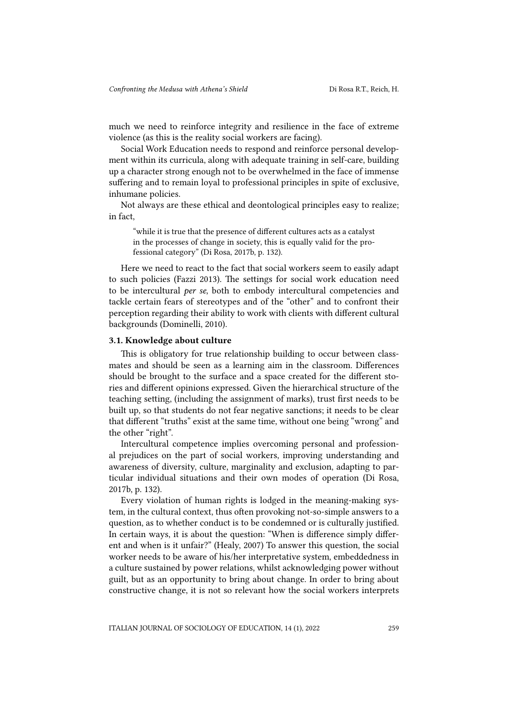much we need to reinforce integrity and resilience in the face of extreme violence (as this is the reality social workers are facing).

Social Work Education needs to respond and reinforce personal development within its curricula, along with adequate training in self-care, building up a character strong enough not to be overwhelmed in the face of immense suffering and to remain loyal to professional principles in spite of exclusive, inhumane policies.

Not always are these ethical and deontological principles easy to realize; in fact,

"while it is true that the presence of different cultures acts as a catalyst in the processes of change in society, this is equally valid for the professional category" (Di Rosa, 2017b, p. 132).

Here we need to react to the fact that social workers seem to easily adapt to such policies (Fazzi 2013). The settings for social work education need to be intercultural *per se*, both to embody intercultural competencies and tackle certain fears of stereotypes and of the "other" and to confront their perception regarding their ability to work with clients with different cultural backgrounds (Dominelli, 2010).

#### 3.1. Knowledge about culture

This is obligatory for true relationship building to occur between classmates and should be seen as a learning aim in the classroom. Differences should be brought to the surface and a space created for the different stories and different opinions expressed. Given the hierarchical structure of the teaching setting, (including the assignment of marks), trust first needs to be built up, so that students do not fear negative sanctions; it needs to be clear that different "truths" exist at the same time, without one being "wrong" and the other "right".

Intercultural competence implies overcoming personal and professional prejudices on the part of social workers, improving understanding and awareness of diversity, culture, marginality and exclusion, adapting to particular individual situations and their own modes of operation (Di Rosa, 2017b, p. 132).

Every violation of human rights is lodged in the meaning-making system, in the cultural context, thus often provoking not-so-simple answers to a question, as to whether conduct is to be condemned or is culturally justified. In certain ways, it is about the question: "When is difference simply different and when is it unfair?" (Healy, 2007) To answer this question, the social worker needs to be aware of his/her interpretative system, embeddedness in a culture sustained by power relations, whilst acknowledging power without guilt, but as an opportunity to bring about change. In order to bring about constructive change, it is not so relevant how the social workers interprets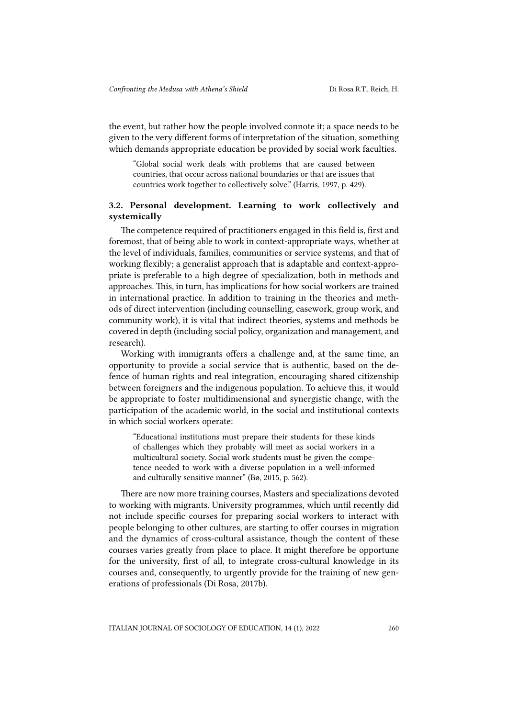the event, but rather how the people involved connote it; a space needs to be given to the very different forms of interpretation of the situation, something which demands appropriate education be provided by social work faculties.

"Global social work deals with problems that are caused between countries, that occur across national boundaries or that are issues that countries work together to collectively solve." (Harris, 1997, p. 429).

#### 3.2. Personal development. Learning to work collectively and systemically

The competence required of practitioners engaged in this field is, first and foremost, that of being able to work in context-appropriate ways, whether at the level of individuals, families, communities or service systems, and that of working flexibly; a generalist approach that is adaptable and context-appropriate is preferable to a high degree of specialization, both in methods and approaches. This, in turn, has implications for how social workers are trained in international practice. In addition to training in the theories and methods of direct intervention (including counselling, casework, group work, and community work), it is vital that indirect theories, systems and methods be covered in depth (including social policy, organization and management, and research).

Working with immigrants offers a challenge and, at the same time, an opportunity to provide a social service that is authentic, based on the defence of human rights and real integration, encouraging shared citizenship between foreigners and the indigenous population. To achieve this, it would be appropriate to foster multidimensional and synergistic change, with the participation of the academic world, in the social and institutional contexts in which social workers operate:

"Educational institutions must prepare their students for these kinds of challenges which they probably will meet as social workers in a multicultural society. Social work students must be given the competence needed to work with a diverse population in a well-informed and culturally sensitive manner" (Bø, 2015, p. 562).

There are now more training courses, Masters and specializations devoted to working with migrants. University programmes, which until recently did not include specific courses for preparing social workers to interact with people belonging to other cultures, are starting to offer courses in migration and the dynamics of cross-cultural assistance, though the content of these courses varies greatly from place to place. It might therefore be opportune for the university, first of all, to integrate cross-cultural knowledge in its courses and, consequently, to urgently provide for the training of new generations of professionals (Di Rosa, 2017b).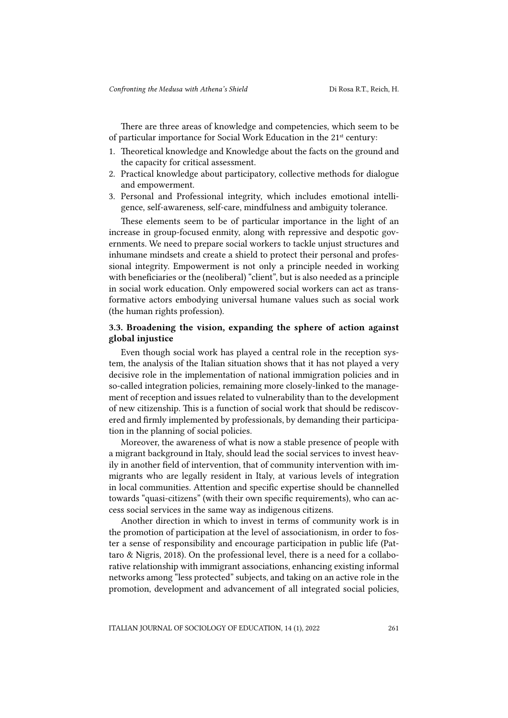There are three areas of knowledge and competencies, which seem to be of particular importance for Social Work Education in the 21<sup>st</sup> century:

- 1. Theoretical knowledge and Knowledge about the facts on the ground and the capacity for critical assessment.
- 2. Practical knowledge about participatory, collective methods for dialogue and empowerment.
- 3. Personal and Professional integrity, which includes emotional intelligence, self-awareness, self-care, mindfulness and ambiguity tolerance.

These elements seem to be of particular importance in the light of an increase in group-focused enmity, along with repressive and despotic governments. We need to prepare social workers to tackle unjust structures and inhumane mindsets and create a shield to protect their personal and professional integrity. Empowerment is not only a principle needed in working with beneficiaries or the (neoliberal) "client", but is also needed as a principle in social work education. Only empowered social workers can act as transformative actors embodying universal humane values such as social work (the human rights profession).

#### 3.3. Broadening the vision, expanding the sphere of action against global injustice

Even though social work has played a central role in the reception system, the analysis of the Italian situation shows that it has not played a very decisive role in the implementation of national immigration policies and in so-called integration policies, remaining more closely-linked to the management of reception and issues related to vulnerability than to the development of new citizenship. This is a function of social work that should be rediscovered and firmly implemented by professionals, by demanding their participation in the planning of social policies.

Moreover, the awareness of what is now a stable presence of people with a migrant background in Italy, should lead the social services to invest heavily in another field of intervention, that of community intervention with immigrants who are legally resident in Italy, at various levels of integration in local communities. Attention and specific expertise should be channelled towards "quasi-citizens" (with their own specific requirements), who can access social services in the same way as indigenous citizens.

Another direction in which to invest in terms of community work is in the promotion of participation at the level of associationism, in order to foster a sense of responsibility and encourage participation in public life (Pattaro & Nigris, 2018). On the professional level, there is a need for a collaborative relationship with immigrant associations, enhancing existing informal networks among "less protected" subjects, and taking on an active role in the promotion, development and advancement of all integrated social policies,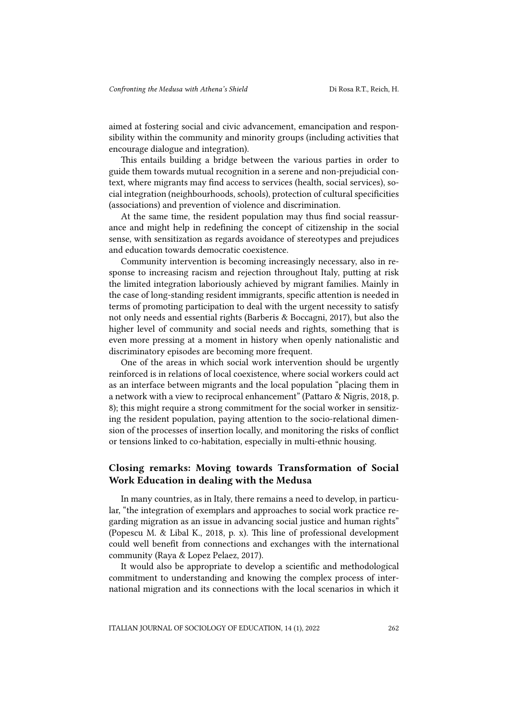aimed at fostering social and civic advancement, emancipation and responsibility within the community and minority groups (including activities that encourage dialogue and integration).

This entails building a bridge between the various parties in order to guide them towards mutual recognition in a serene and non-prejudicial context, where migrants may find access to services (health, social services), social integration (neighbourhoods, schools), protection of cultural specificities (associations) and prevention of violence and discrimination.

At the same time, the resident population may thus find social reassurance and might help in redefining the concept of citizenship in the social sense, with sensitization as regards avoidance of stereotypes and prejudices and education towards democratic coexistence.

Community intervention is becoming increasingly necessary, also in response to increasing racism and rejection throughout Italy, putting at risk the limited integration laboriously achieved by migrant families. Mainly in the case of long-standing resident immigrants, specific attention is needed in terms of promoting participation to deal with the urgent necessity to satisfy not only needs and essential rights (Barberis & Boccagni, 2017), but also the higher level of community and social needs and rights, something that is even more pressing at a moment in history when openly nationalistic and discriminatory episodes are becoming more frequent.

One of the areas in which social work intervention should be urgently reinforced is in relations of local coexistence, where social workers could act as an interface between migrants and the local population "placing them in a network with a view to reciprocal enhancement" (Pattaro & Nigris, 2018, p. 8); this might require a strong commitment for the social worker in sensitizing the resident population, paying attention to the socio-relational dimension of the processes of insertion locally, and monitoring the risks of conflict or tensions linked to co-habitation, especially in multi-ethnic housing.

## Closing remarks: Moving towards Transformation of Social Work Education in dealing with the Medusa

In many countries, as in Italy, there remains a need to develop, in particular, "the integration of exemplars and approaches to social work practice regarding migration as an issue in advancing social justice and human rights" (Popescu M. & Libal K., 2018, p. x). This line of professional development could well benefit from connections and exchanges with the international community (Raya & Lopez Pelaez, 2017).

It would also be appropriate to develop a scientific and methodological commitment to understanding and knowing the complex process of international migration and its connections with the local scenarios in which it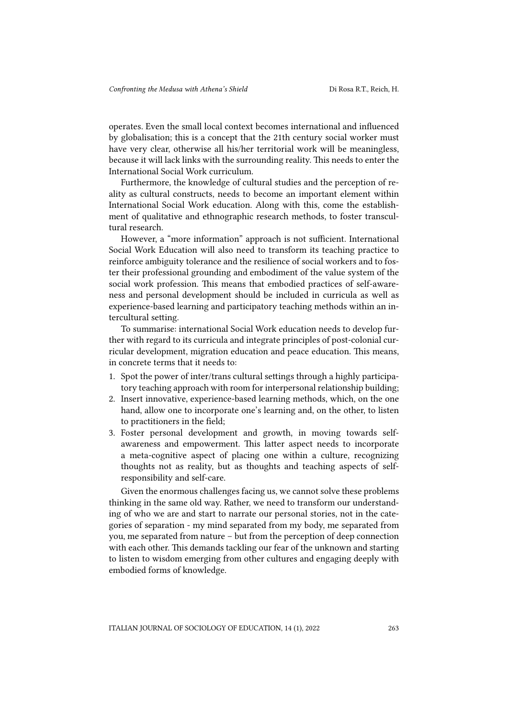operates. Even the small local context becomes international and influenced by globalisation; this is a concept that the 21th century social worker must have very clear, otherwise all his/her territorial work will be meaningless, because it will lack links with the surrounding reality. This needs to enter the International Social Work curriculum.

Furthermore, the knowledge of cultural studies and the perception of reality as cultural constructs, needs to become an important element within International Social Work education. Along with this, come the establishment of qualitative and ethnographic research methods, to foster transcultural research.

However, a "more information" approach is not sufficient. International Social Work Education will also need to transform its teaching practice to reinforce ambiguity tolerance and the resilience of social workers and to foster their professional grounding and embodiment of the value system of the social work profession. This means that embodied practices of self-awareness and personal development should be included in curricula as well as experience-based learning and participatory teaching methods within an intercultural setting.

To summarise: international Social Work education needs to develop further with regard to its curricula and integrate principles of post-colonial curricular development, migration education and peace education. This means, in concrete terms that it needs to:

- 1. Spot the power of inter/trans cultural settings through a highly participatory teaching approach with room for interpersonal relationship building;
- 2. Insert innovative, experience-based learning methods, which, on the one hand, allow one to incorporate one's learning and, on the other, to listen to practitioners in the field;
- 3. Foster personal development and growth, in moving towards selfawareness and empowerment. This latter aspect needs to incorporate a meta-cognitive aspect of placing one within a culture, recognizing thoughts not as reality, but as thoughts and teaching aspects of selfresponsibility and self-care.

Given the enormous challenges facing us, we cannot solve these problems thinking in the same old way. Rather, we need to transform our understanding of who we are and start to narrate our personal stories, not in the categories of separation - my mind separated from my body, me separated from you, me separated from nature – but from the perception of deep connection with each other. This demands tackling our fear of the unknown and starting to listen to wisdom emerging from other cultures and engaging deeply with embodied forms of knowledge.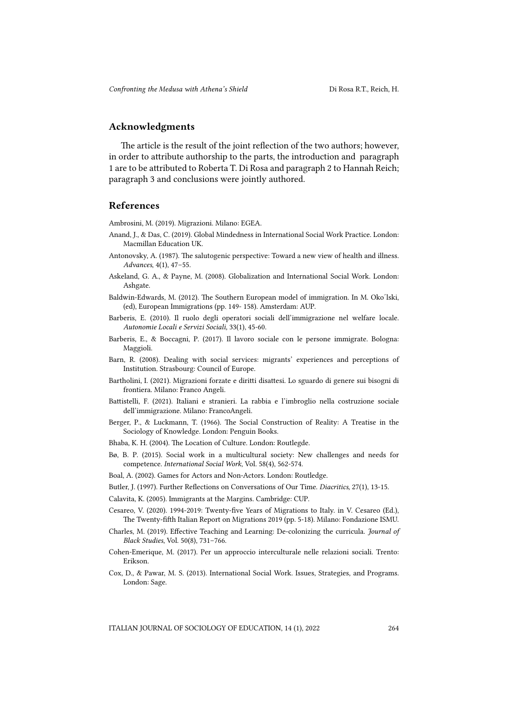## Acknowledgments

The article is the result of the joint reflection of the two authors; however, in order to attribute authorship to the parts, the introduction and paragraph 1 are to be attributed to Roberta T. Di Rosa and paragraph 2 to Hannah Reich; paragraph 3 and conclusions were jointly authored.

#### References

Ambrosini, M. (2019). Migrazioni. Milano: EGEA.

- Anand, J., & Das, C. (2019). Global Mindedness in International Social Work Practice. London: Macmillan Education UK.
- Antonovsky, A. (1987). The salutogenic perspective: Toward a new view of health and illness. *Advances*, 4(1), 47–55.
- Askeland, G. A., & Payne, M. (2008). Globalization and International Social Work. London: Ashgate.
- Baldwin-Edwards, M. (2012). The Southern European model of immigration. In M. Oko'lski, (ed), European Immigrations (pp. 149- 158). Amsterdam: AUP.
- Barberis, E. (2010). Il ruolo degli operatori sociali dell'immigrazione nel welfare locale. *Autonomie Locali e Servizi Sociali,* 33(1), 45-60.
- Barberis, E., & Boccagni, P. (2017). Il lavoro sociale con le persone immigrate. Bologna: Maggioli.
- Barn, R. (2008). Dealing with social services: migrants' experiences and perceptions of Institution. Strasbourg: Council of Europe.
- Bartholini, I. (2021). Migrazioni forzate e diritti disattesi. Lo sguardo di genere sui bisogni di frontiera. Milano: Franco Angeli.
- Battistelli, F. (2021). Italiani e stranieri. La rabbia e l'imbroglio nella costruzione sociale dell'immigrazione. Milano: FrancoAngeli.
- Berger, P., & Luckmann, T. (1966). The Social Construction of Reality: A Treatise in the Sociology of Knowledge. London: Penguin Books.
- Bhaba, K. H. (2004). The Location of Culture. London: Routlegde.
- Bø, B. P. (2015). Social work in a multicultural society: New challenges and needs for competence. *International Social Work*, Vol. 58(4), 562-574.
- Boal, A. (2002). Games for Actors and Non-Actors. London: Routledge.
- Butler, J. (1997). Further Reflections on Conversations of Our Time. *Diacritics*, 27(1), 13-15.
- Calavita, K. (2005). Immigrants at the Margins. Cambridge: CUP.
- Cesareo, V. (2020). 1994-2019: Twenty-five Years of Migrations to Italy. in V. Cesareo (Ed.), The Twenty-fifth Italian Report on Migrations 2019 (pp. 5-18). Milano: Fondazione ISMU.
- Charles, M. (2019). Effective Teaching and Learning: De-colonizing the curricula. *Journal of Black Studies*, Vol. 50(8), 731–766.
- Cohen-Emerique, M. (2017). Per un approccio interculturale nelle relazioni sociali. Trento: Erikson.
- Cox, D., & Pawar, M. S. (2013). International Social Work. Issues, Strategies, and Programs. London: Sage.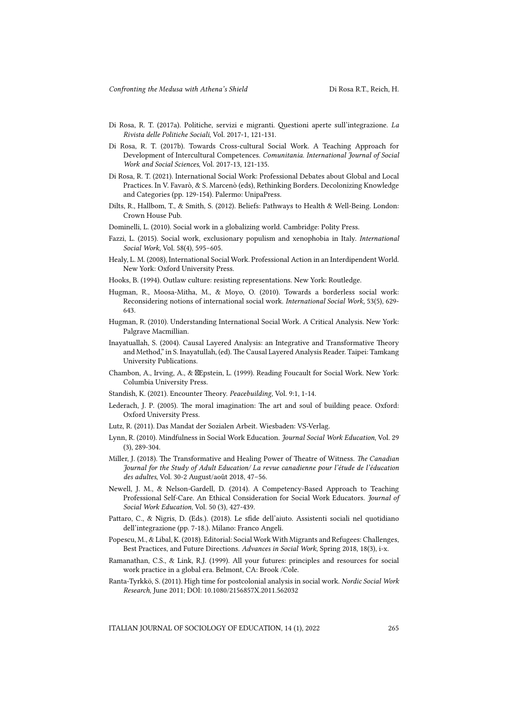- Di Rosa, R. T. (2017a). Politiche, servizi e migranti. Questioni aperte sull'integrazione. *La Rivista delle Politiche Sociali*, Vol. 2017-1, 121-131.
- Di Rosa, R. T. (2017b). Towards Cross-cultural Social Work. A Teaching Approach for Development of Intercultural Competences. *Comunitania. International Journal of Social Work and Social Sciences*, Vol. 2017-13, 121-135.
- Di Rosa, R. T. (2021). International Social Work: Professional Debates about Global and Local Practices. In V. Favarò, & S. Marcenò (eds), Rethinking Borders. Decolonizing Knowledge and Categories (pp. 129-154). Palermo: UnipaPress.
- Dilts, R., Hallbom, T., & Smith, S. (2012). Beliefs: Pathways to Health & Well-Being. London: Crown House Pub.
- Dominelli, L. (2010). Social work in a globalizing world. Cambridge: Polity Press.
- Fazzi, L. (2015). Social work, exclusionary populism and xenophobia in Italy. *International Social Work,* Vol. 58(4), 595–605.
- Healy, L. M. (2008), International Social Work. Professional Action in an Interdipendent World. New York: Oxford University Press.
- Hooks, B. (1994). Outlaw culture: resisting representations. New York: Routledge.
- Hugman, R., Moosa-Mitha, M., & Moyo, O. (2010). Towards a borderless social work: Reconsidering notions of international social work. *International Social Work,* 53(5), 629- 643.
- Hugman, R. (2010). Understanding International Social Work. A Critical Analysis. New York: Palgrave Macmillian.
- Inayatuallah, S. (2004). Causal Layered Analysis: an Integrative and Transformative Theory and Method," in S. Inayatullah, (ed). The Causal Layered Analysis Reader. Taipei: Tamkang University Publications.
- Chambon, A., Irving, A., & Epstein, L. (1999). Reading Foucault for Social Work. New York: Columbia University Press.
- Standish, K. (2021). Encounter Theory. *Peacebuilding*, Vol. 9:1, 1-14.
- Lederach, J. P. (2005). The moral imagination: The art and soul of building peace. Oxford: Oxford University Press.
- Lutz, R. (2011). Das Mandat der Sozialen Arbeit. Wiesbaden: VS-Verlag.
- Lynn, R. (2010). Mindfulness in Social Work Education. *Journal Social Work Education*, Vol. 29 (3), 289-304.
- Miller, J. (2018). The Transformative and Healing Power of Theatre of Witness. *The Canadian Journal for the Study of Adult Education/ La revue canadienne pour l'étude de l'éducation des adultes*, Vol. 30-2 August/août 2018, 47–56.
- Newell, J. M., & Nelson-Gardell, D. (2014). A Competency-Based Approach to Teaching Professional Self-Care. An Ethical Consideration for Social Work Educators. *Journal of Social Work Education*, Vol. 50 (3), 427-439.
- Pattaro, C., & Nigris, D. (Eds.). (2018). Le sfide dell'aiuto. Assistenti sociali nel quotidiano dell'integrazione (pp. 7-18.). Milano: Franco Angeli.
- Popescu, M., & Libal, K. (2018). Editorial: Social Work With Migrants and Refugees: Challenges, Best Practices, and Future Directions. *Advances in Social Work*, Spring 2018, 18(3), i-x.
- Ramanathan, C.S., & Link, R.J. (1999). All your futures: principles and resources for social work practice in a global era. Belmont, CA: Brook /Cole.
- Ranta-Tyrkkö, S. (2011). High time for postcolonial analysis in social work. *Nordic Social Work Research*, June 2011; DOI: 10.1080/2156857X.2011.562032